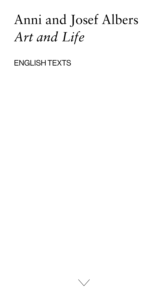# Anni and Josef Albers *Art and Life*

ENGLISH TEXTS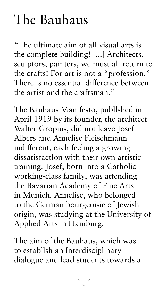#### The Bauhaus

"The ultimate aim of all visual arts is the complete building! [...] Architects, sculptors, painters, we must all return to the crafts! For art is not a "profession." There is no essential difference between the artist and the craftsman."

The Bauhaus Manifesto, publlshed in April 1919 by its founder, the architect Walter Gropius, did not leave Josef Albers and Annelise Fleischmann indifferent, each feeling a growing dissatisfactlon with their own artistic training. Josef, born into a Catholic working-class family, was attending the Bavarian Academy of Fine Arts in Munich. Annelise, who belonged to the German bourgeoisie of Jewish origin, was studying at the University of Applied Arts in Hamburg.

The aim of the Bauhaus, which was to establlsh an Interdisciplinary dialogue and lead students towards a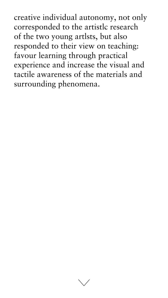creative individual autonomy, not only corresponded to the artistlc research of the two young artlsts, but also responded to their view on teaching: favour learning through practical experience and increase the visual and tactile awareness of the materials and surrounding phenomena.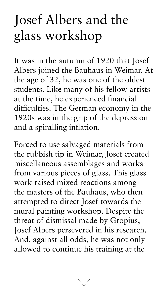## Josef Albers and the glass workshop

It was in the autumn of 1920 that Josef Albers joined the Bauhaus in Weimar. At the age of 32, he was one of the oldest students. Like many of his fellow artists at the time, he experienced financial difficulties. The German economy in the 1920s was in the grip of the depression and a spiralling inflation.

Forced to use salvaged materials from the rubbish tip in Weimar, Josef created miscellaneous assemblages and works from various pieces of glass. This glass work raised mixed reactions among the masters of the Bauhaus, who then attempted to direct Josef towards the mural painting workshop. Despite the threat of dismissal made by Gropius, Josef Albers persevered in his research. And, against all odds, he was not only allowed to continue his training at the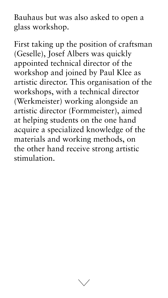Bauhaus but was also asked to open a glass workshop.

First taking up the position of craftsman (Geselle), Josef Albers was quickly appointed technical director of the workshop and joined by Paul Klee as artistic director. This organisation of the workshops, with a technical director (Werkmeister) working alongside an artistic director (Formmeister), aimed at helping students on the one hand acquire a specialized knowledge of the materials and working methods, on the other hand receive strong artistic stimulation.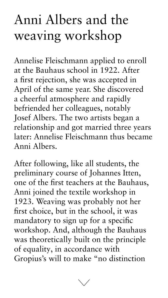## Anni Albers and the weaving workshop

Annelise Fleischmann applied to enroll at the Bauhaus school in 1922. After a first rejection, she was accepted in April of the same year. She discovered a cheerful atmosphere and rapidly befriended her colleagues, notably Josef Albers. The two artists began a relationship and got married three years later: Annelise Fleischmann thus became

#### Anni Albers.

After following, like all students, the preliminary course of Johannes Itten, one of the first teachers at the Bauhaus, Anni joined the textile workshop in 1923. Weaving was probably not her first choice, but in the school, it was mandatory to sign up for a specific workshop. And, although the Bauhaus was theoretically built on the principle of equality, in accordance with Gropius's will to make "no distinction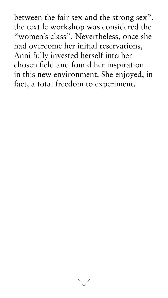between the fair sex and the strong sex", the textile workshop was considered the "women's class". Nevertheless, once she had overcome her initial reservations, Anni fully invested herself into her chosen field and found her inspiration in this new environment. She enjoyed, in fact, a total freedom to experiment.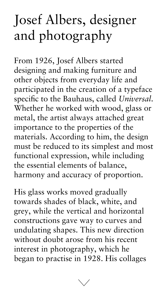## Josef Albers, designer and photography

From 1926, Josef Albers started designing and making furniture and other objects from everyday life and participated in the creation of a typeface specific to the Bauhaus, called *Universal*. Whether he worked with wood, glass or metal, the artist always attached great importance to the properties of the materials. According to him, the design must be reduced to its simplest and most functional expression, while including the essential elements of balance, harmony and accuracy of proportion.

His glass works moved gradually towards shades of black, white, and grey, while the vertical and horizontal constructions gave way to curves and undulating shapes. This new direction without doubt arose from his recent interest in photography, which he began to practise in 1928. His collages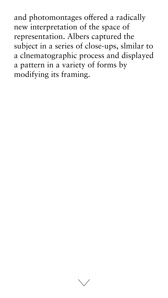and photomontages offered a radically new interpretation of the space of representation. Albers captured the subject in a series of close-ups, slmilar to a clnematographic process and displayed a pattern in a variety of forms by modifying its framing.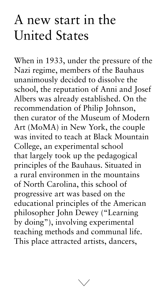## A new start in the United States

When in 1933, under the pressure of the Nazi regime, members of the Bauhaus unanimously decided to dissolve the school, the reputation of Anni and Josef Albers was already established. On the recommendation of Philip Johnson, then curator of the Museum of Modern Art (MoMA) in New York, the couple was invited to teach at Black Mountain College, an experimental school that largely took up the pedagogical principles of the Bauhaus. Situated in a rural environmen in the mountains of North Carolina, this school of progressive art was based on the educational principles of the American philosopher John Dewey ("Learning by doing"), involving experimental teaching methods and communal life. This place attracted artists, dancers,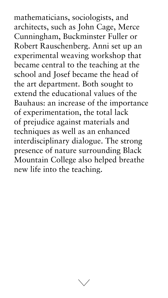mathematicians, sociologists, and architects, such as John Cage, Merce Cunningham, Buckminster Fuller or Robert Rauschenberg. Anni set up an experimental weaving workshop that became central to the teaching at the school and Josef became the head of the art department. Both sought to extend the educational values of the Bauhaus: an increase of the importance of experimentation, the total lack of prejudice against materials and techniques as well as an enhanced interdisciplinary dialogue. The strong presence of nature surrounding Black Mountain College also helped breathe new life into the teaching.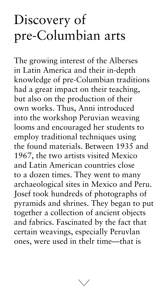## Discovery of pre-Columbian arts

The growing interest of the Alberses in Latin America and their in-depth knowledge of pre-Columbian traditions had a great impact on their teaching, but also on the production of their own works. Thus, Anni introduced into the workshop Peruvian weaving looms and encouraged her students to employ traditional techniques using the found materials. Between 1935 and 1967, the two artists visited Mexico and Latin American countries close to a dozen times. They went to many archaeological sites in Mexico and Peru. Josef took hundreds of photographs of pyramids and shrines. They began to put together a collection of ancient objects and fabrics. Fascinated by the fact that certain weavings, especially Peruvlan ones, were used in thelr time—that is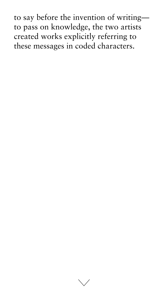to say before the invention of writing to pass on knowledge, the two artists created works explicitly referring to these messages in coded characters.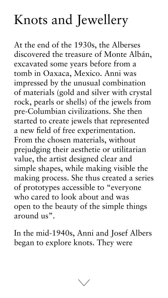## Knots and Jewellery

At the end of the 1930s, the Alberses discovered the treasure of Monte Albán, excavated some years before from a tomb in Oaxaca, Mexico. Anni was impressed by the unusual combination of materials (gold and silver with crystal rock, pearls or shells) of the jewels from pre-Columbian civilizations. She then started to create jewels that represented a new field of free experimentation. From the chosen materials, without prejudging their aesthetie or utilitarian value, the artist designed clear and simple shapes, while making visible the making process. She thus created a series of prototypes accessible to "everyone who cared to look about and was open to the beauty of the simple things around us".

In the mid-1940s, Anni and Josef Albers began to explore knots. They were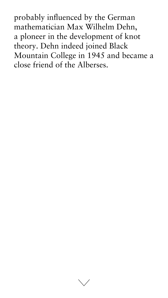probably influenced by the German mathematician Max Wilhelm Dehn, a ploneer in the development of knot theory. Dehn indeed joined Black Mountain College in 1945 and became a close friend of the Alberses.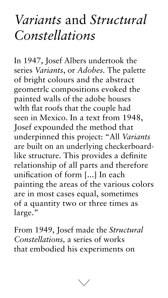#### *Variants* and *Structural Constellations*

In 1947, Josef Albers undertook the series *Variants*, or *Adobes.* The palette of bright colours and the abstract geometrlc compositions evoked the painted walls of the adobe houses wlth flat roofs that the couple had seen in Mexico. In a text from 1948, Josef expounded the method that underpinned this project: "All *Variants*  are built on an underlying checkerboardlike structure. This provides a definite relationship of all parts and therefore unification of form [...] In each painting the areas of the various colors are in most cases equal, sometimes of a quantity two or three times as large."

From 1949, Josef made the *Structural Constellations,* a series of works that embodied his experiments on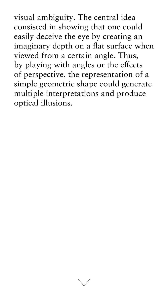visual ambiguity. The central idea consisted in showing that one could easily deceive the eye by creating an imaginary depth on a flat surface when viewed from a certain angle. Thus, by playing with angles or the effects of perspective, the representation of a simple geometric shape could generate multiple interpretations and produce optical illusions.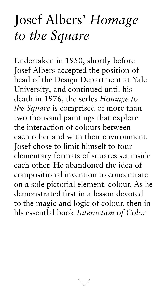## Josef Albers' *Homage to the Square*

Undertaken in 1950, shortly before Josef Albers accepted the position of head of the Design Department at Yale University, and continued until his death in 1976, the serles *Homage to the Square* is comprised of more than two thousand paintings that explore the interaction of colours between each other and with their environment. Josef chose to limit hlmself to four elementary formats of squares set inside each other. He abandoned the idea of compositional invention to concentrate on a sole pictorial element: colour. As he demonstrated first in a lesson devoted to the magic and logic of colour, then in hls essentlal book *Interaction of Color*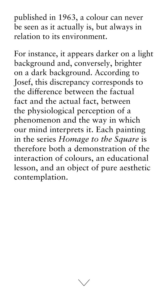published in 1963, a colour can never be seen as it actually is, but always in relation to its environment.

For instance, it appears darker on a light background and, conversely, brighter on a dark background. According to Josef, this discrepancy corresponds to the difference between the factual fact and the actual fact, between the physiological perception of a phenomenon and the way in which our mind interprets it. Each painting in the series *Homage to the Square* is therefore both a demonstration of the interaction of colours, an educational lesson, and an object of pure aesthetic contemplation.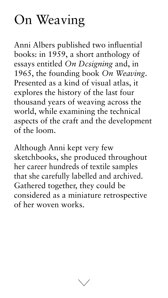## On Weaving

Anni Albers published two influential books: in 1959, a short anthology of essays entitled *On Dcsigning* and, in 1965, the founding book *On Weaving*. Presented as a kind of visual atlas, it explores the history of the last four thousand years of weaving across the world, while examining the technical aspects of the craft and the development of the loom.

Although Anni kept very few sketchbooks, she produced throughout her career hundreds of textile samples that she carefully labelled and archived. Gathered together, they could be considered as a miniature retrospective of her woven works.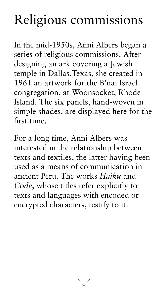## Religious commissions

In the mid-1950s, Anni Albers began a series of religious commissions. After designing an ark covering a Jewish temple in Dallas.Texas, she created in 1961 an artwork for the B'nai Israel congregation, at Woonsocket, Rhode Island. The six panels, hand-woven in simple shades, are displayed here for the first time.

For a long time, Anni Albers was

interested in the relationship between texts and textiles, the latter having been used as a means of communication in ancient Peru. The works *Haiku* and *Code*, whose titles refer explicitly to texts and languages with encoded or encrypted characters, testify to it.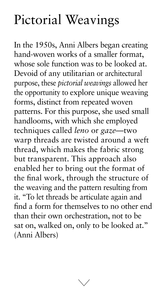## Pictorial Weavings

In the 1950s, Anni Albers began creating hand-woven works of a smaller format, whose sole function was to be looked at. Devoid of any utilitarian or architectural purpose, these *pictorial weavings* allowed her the opportunity to explore unique weaving forms, distinct from repeated woven patterns. For this purpose, she used small handlooms, with which she employed techniques called *leno* or *gaze—*two warp threads are twisted around a weft thread, which makes the fabric strong but transparent. This approach also enabled her to bring out the format of the final work, through the structure of the weaving and the pattern resulting from it. "To let threads be articulate again and find a form for themselves to no other end than their own orchestration, not to be sat on, walked on, only to be looked at." (Anni Albers)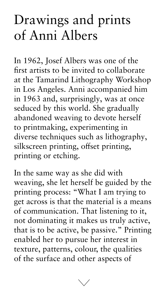## Drawings and prints of Anni Albers

In 1962, Josef Albers was one of the first artists to be invited to collaborate at the Tamarind Lithography Workshop in Los Angeles. Anni accompanied him in 1963 and, surprisingly, was at once seduced by this world. She gradually abandoned weaving to devote herself to printmaking, experimenting in diverse techniques such as lithography, silkscreen printing, offset printing, printing or etching.

In the same way as she did with weaving, she let herself be guided by the printing process: "What I am trying to get across is that the material is a means of communication. That listening to it, not dominating it makes us truly active, that is to be active, be passive." Printing enabled her to pursue her interest in texture, patterns, colour, the qualities of the surface and other aspects of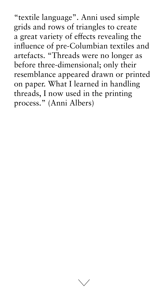"textile language". Anni used simple grids and rows of triangles to create a great variety of effects revealing the influence of pre-Columbian textiles and artefacts. "Threads were no longer as before three-dimensional; only their resemblance appeared drawn or printed on paper. What I learned in handling threads, I now used in the printing process." (Anni Albers)